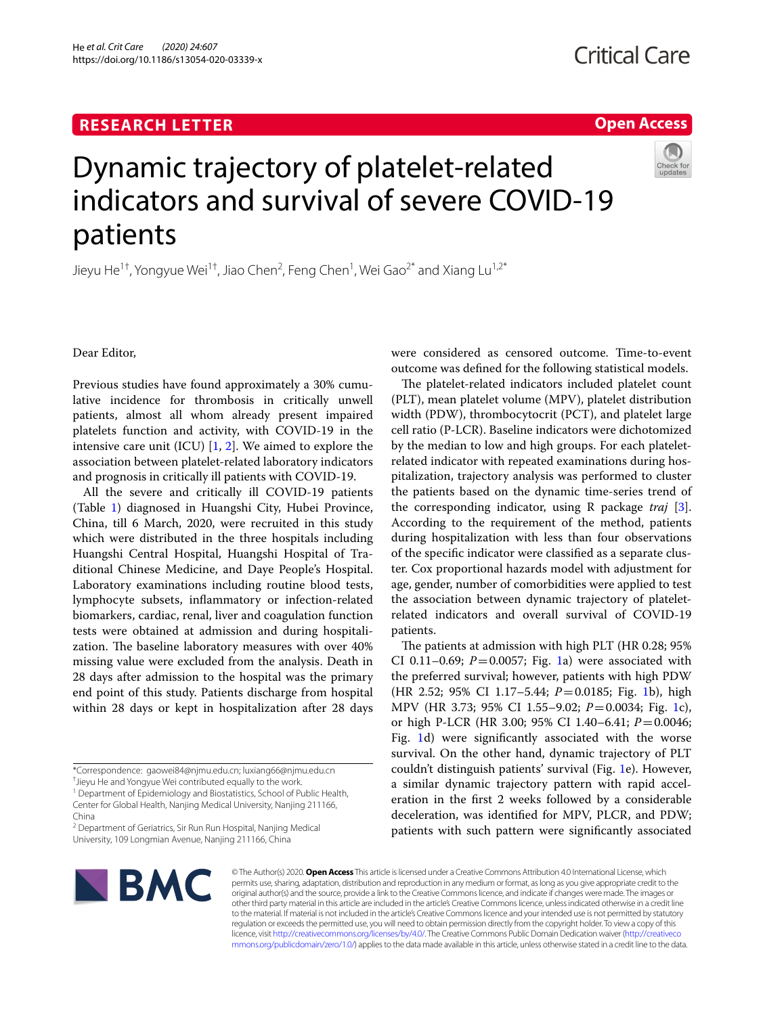https://doi.org/10.1186/s13054-020-03339-x

He *et al. Crit Care (2020) 24:607* 

# **Open Access**

# Dynamic trajectory of platelet-related indicators and survival of severe COVID-19 patients

Jieyu He<sup>1†</sup>, Yongyue Wei<sup>1†</sup>, Jiao Chen<sup>2</sup>, Feng Chen<sup>1</sup>, Wei Gao<sup>2\*</sup> and Xiang Lu<sup>1,2\*</sup>

Dear Editor,

Previous studies have found approximately a 30% cumulative incidence for thrombosis in critically unwell patients, almost all whom already present impaired platelets function and activity, with COVID-19 in the intensive care unit (ICU) [[1,](#page-3-0) [2](#page-3-1)]. We aimed to explore the association between platelet-related laboratory indicators and prognosis in critically ill patients with COVID-19.

All the severe and critically ill COVID-19 patients (Table [1](#page-1-0)) diagnosed in Huangshi City, Hubei Province, China, till 6 March, 2020, were recruited in this study which were distributed in the three hospitals including Huangshi Central Hospital, Huangshi Hospital of Traditional Chinese Medicine, and Daye People's Hospital. Laboratory examinations including routine blood tests, lymphocyte subsets, infammatory or infection-related biomarkers, cardiac, renal, liver and coagulation function tests were obtained at admission and during hospitalization. The baseline laboratory measures with over  $40\%$ missing value were excluded from the analysis. Death in 28 days after admission to the hospital was the primary end point of this study. Patients discharge from hospital within 28 days or kept in hospitalization after 28 days

<sup>1</sup> Department of Epidemiology and Biostatistics, School of Public Health,

<sup>2</sup> Department of Geriatrics, Sir Run Run Hospital, Nanjing Medical University, 109 Longmian Avenue, Nanjing 211166, China

were considered as censored outcome. Time-to-event outcome was defned for the following statistical models.

The platelet-related indicators included platelet count (PLT), mean platelet volume (MPV), platelet distribution width (PDW), thrombocytocrit (PCT), and platelet large cell ratio (P-LCR). Baseline indicators were dichotomized by the median to low and high groups. For each plateletrelated indicator with repeated examinations during hospitalization, trajectory analysis was performed to cluster the patients based on the dynamic time-series trend of the corresponding indicator, using R package *traj* [\[3](#page-3-2)]. According to the requirement of the method, patients during hospitalization with less than four observations of the specifc indicator were classifed as a separate cluster. Cox proportional hazards model with adjustment for age, gender, number of comorbidities were applied to test the association between dynamic trajectory of plateletrelated indicators and overall survival of COVID-19 patients.

The patients at admission with high PLT (HR 0.28; 95%) CI 0.[1](#page-2-0)1–0.69;  $P = 0.0057$ ; Fig. 1a) were associated with the preferred survival; however, patients with high PDW (HR 2.52; 95% CI 1.17–5.44; *P*=0.0185; Fig. [1](#page-2-0)b), high MPV (HR 3.73; 95% CI 1.55–9.02; *P*=0.0034; Fig. [1c](#page-2-0)), or high P-LCR (HR 3.00; 95% CI 1.40–6.41; *P*=0.0046; Fig. [1](#page-2-0)d) were signifcantly associated with the worse survival. On the other hand, dynamic trajectory of PLT couldn't distinguish patients' survival (Fig. [1](#page-2-0)e). However, a similar dynamic trajectory pattern with rapid acceleration in the frst 2 weeks followed by a considerable deceleration, was identifed for MPV, PLCR, and PDW; patients with such pattern were signifcantly associated



© The Author(s) 2020. **Open Access** This article is licensed under a Creative Commons Attribution 4.0 International License, which permits use, sharing, adaptation, distribution and reproduction in any medium or format, as long as you give appropriate credit to the original author(s) and the source, provide a link to the Creative Commons licence, and indicate if changes were made. The images or other third party material in this article are included in the article's Creative Commons licence, unless indicated otherwise in a credit line to the material. If material is not included in the article's Creative Commons licence and your intended use is not permitted by statutory regulation or exceeds the permitted use, you will need to obtain permission directly from the copyright holder. To view a copy of this licence, visit [http://creativecommons.org/licenses/by/4.0/.](http://creativecommons.org/licenses/by/4.0/) The Creative Commons Public Domain Dedication waiver ([http://creativeco](http://creativecommons.org/publicdomain/zero/1.0/) [mmons.org/publicdomain/zero/1.0/](http://creativecommons.org/publicdomain/zero/1.0/)) applies to the data made available in this article, unless otherwise stated in a credit line to the data.

<sup>\*</sup>Correspondence: gaowei84@njmu.edu.cn; luxiang66@njmu.edu.cn † Jieyu He and Yongyue Wei contributed equally to the work.

Center for Global Health, Nanjing Medical University, Nanjing 211166, China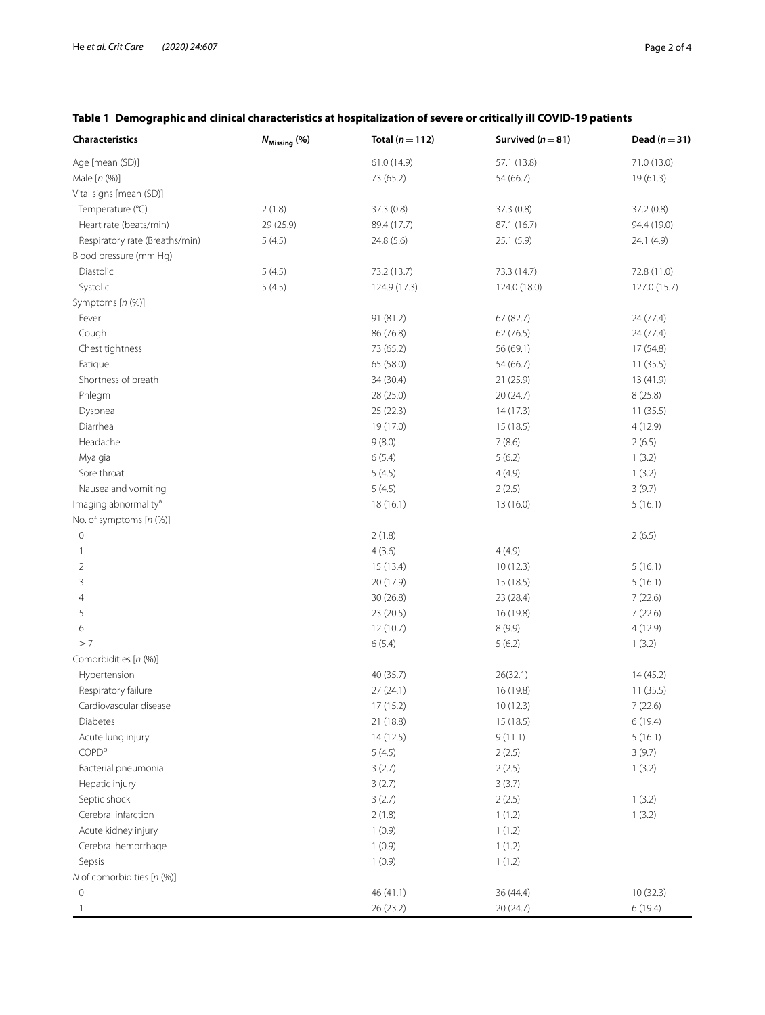| <b>Characteristics</b>           | $N_{\text{Missing}}$ (%) | Total $(n=112)$ | Survived ( $n = 81$ ) | Dead $(n=31)$ |
|----------------------------------|--------------------------|-----------------|-----------------------|---------------|
| Age [mean (SD)]                  |                          | 61.0 (14.9)     | 57.1 (13.8)           | 71.0 (13.0)   |
| Male [n (%)]                     |                          | 73 (65.2)       | 54 (66.7)             | 19(61.3)      |
| Vital signs [mean (SD)]          |                          |                 |                       |               |
| Temperature (°C)                 | 2(1.8)                   | 37.3(0.8)       | 37.3(0.8)             | 37.2(0.8)     |
| Heart rate (beats/min)           | 29 (25.9)                | 89.4 (17.7)     | 87.1 (16.7)           | 94.4 (19.0)   |
| Respiratory rate (Breaths/min)   | 5(4.5)                   | 24.8 (5.6)      | 25.1(5.9)             | 24.1 (4.9)    |
| Blood pressure (mm Hg)           |                          |                 |                       |               |
| Diastolic                        | 5(4.5)                   | 73.2 (13.7)     | 73.3 (14.7)           | 72.8 (11.0)   |
| Systolic                         | 5(4.5)                   | 124.9 (17.3)    | 124.0 (18.0)          | 127.0 (15.7)  |
| Symptoms [n (%)]                 |                          |                 |                       |               |
| Fever                            |                          | 91 (81.2)       | 67 (82.7)             | 24 (77.4)     |
| Cough                            |                          | 86 (76.8)       | 62(76.5)              | 24 (77.4)     |
| Chest tightness                  |                          | 73 (65.2)       | 56 (69.1)             | 17 (54.8)     |
| Fatigue                          |                          | 65 (58.0)       | 54 (66.7)             | 11(35.5)      |
| Shortness of breath              |                          | 34 (30.4)       | 21(25.9)              | 13 (41.9)     |
| Phlegm                           |                          | 28 (25.0)       | 20 (24.7)             | 8(25.8)       |
| Dyspnea                          |                          | 25(22.3)        | 14(17.3)              | 11(35.5)      |
| Diarrhea                         |                          | 19 (17.0)       | 15(18.5)              | 4(12.9)       |
| Headache                         |                          | 9(8.0)          | 7(8.6)                | 2(6.5)        |
| Myalgia                          |                          | 6(5.4)          | 5(6.2)                | 1(3.2)        |
| Sore throat                      |                          | 5(4.5)          | 4(4.9)                | 1(3.2)        |
| Nausea and vomiting              |                          | 5(4.5)          | 2(2.5)                | 3(9.7)        |
| Imaging abnormality <sup>a</sup> |                          | 18(16.1)        | 13(16.0)              | 5(16.1)       |
| No. of symptoms [n (%)]          |                          |                 |                       |               |
| $\mathbf 0$                      |                          | 2(1.8)          |                       | 2(6.5)        |
| $\mathbf{1}$                     |                          | 4(3.6)          | 4(4.9)                |               |
| $\overline{2}$                   |                          | 15(13.4)        | 10(12.3)              | 5(16.1)       |
| 3                                |                          | 20 (17.9)       | 15 (18.5)             | 5(16.1)       |
| 4                                |                          | 30 (26.8)       | 23 (28.4)             | 7(22.6)       |
| 5                                |                          | 23 (20.5)       | 16 (19.8)             | 7(22.6)       |
| 6                                |                          | 12 (10.7)       | 8 (9.9)               | 4(12.9)       |
| $\geq 7$                         |                          | 6(5.4)          | 5(6.2)                | 1(3.2)        |
| Comorbidities [n (%)]            |                          |                 |                       |               |
| Hypertension                     |                          | 40 (35.7)       | 26(32.1)              | 14(45.2)      |
| Respiratory failure              |                          | 27(24.1)        | 16 (19.8)             | 11(35.5)      |
| Cardiovascular disease           |                          | 17 (15.2)       | 10(12.3)              | 7(22.6)       |
| Diabetes                         |                          | 21 (18.8)       | 15 (18.5)             | 6(19.4)       |
| Acute lung injury                |                          | 14(12.5)        | 9(11.1)               | 5(16.1)       |
| COPD <sup>b</sup>                |                          | 5(4.5)          | 2(2.5)                | 3(9.7)        |
| Bacterial pneumonia              |                          | 3(2.7)          | 2(2.5)                | 1(3.2)        |
| Hepatic injury                   |                          | 3(2.7)          | 3(3.7)                |               |
| Septic shock                     |                          | 3(2.7)          | 2(2.5)                | 1(3.2)        |
| Cerebral infarction              |                          | 2(1.8)          | 1(1.2)                | 1(3.2)        |
| Acute kidney injury              |                          | 1(0.9)          | 1(1.2)                |               |
| Cerebral hemorrhage              |                          | 1(0.9)          | 1(1.2)                |               |
| Sepsis                           |                          | 1(0.9)          | 1(1.2)                |               |
| N of comorbidities [n (%)]       |                          |                 |                       |               |
| 0                                |                          | 46 (41.1)       | 36 (44.4)             | 10(32.3)      |
| -1                               |                          | 26 (23.2)       | 20 (24.7)             | 6(19.4)       |

# <span id="page-1-0"></span>**Table 1 Demographic and clinical characteristics at hospitalization of severe or critically ill COVID-19 patients**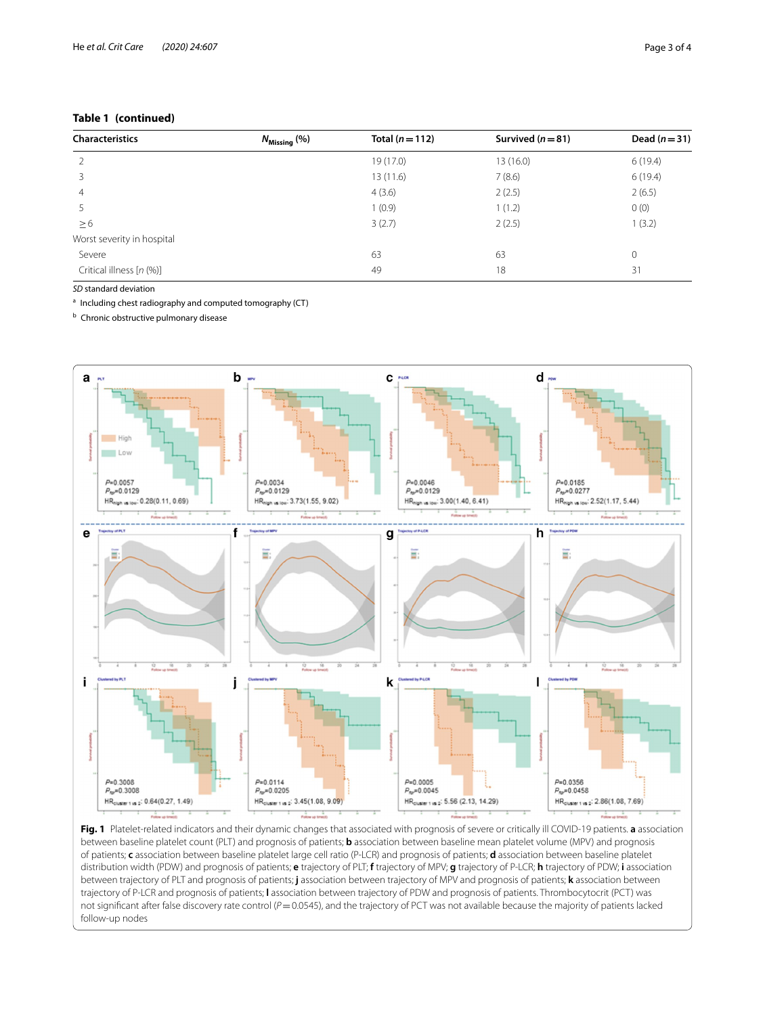## **Table 1 (continued)**

| <b>Characteristics</b>     | $N_{\text{Missing}}$ (%) | Total $(n=112)$ | Survived $(n=81)$ | Dead $(n=31)$ |
|----------------------------|--------------------------|-----------------|-------------------|---------------|
|                            |                          | 19 (17.0)       | 13 (16.0)         | 6(19.4)       |
|                            |                          | 13(11.6)        | 7(8.6)            | 6(19.4)       |
| 4                          |                          | 4(3.6)          | 2(2.5)            | 2(6.5)        |
|                            |                          | 1(0.9)          | 1(1.2)            | 0(0)          |
| $\geq 6$                   |                          | 3(2.7)          | 2(2.5)            | 1(3.2)        |
| Worst severity in hospital |                          |                 |                   |               |
| Severe                     |                          | 63              | 63                | 0             |
| Critical illness [n (%)]   |                          | 49              | 18                | 31            |

*SD* standard deviation

<sup>a</sup> Including chest radiography and computed tomography (CT)

**b** Chronic obstructive pulmonary disease



<span id="page-2-0"></span>**Fig. 1** Platelet-related indicators and their dynamic changes that associated with prognosis of severe or critically ill COVID-19 patients. **a** association between baseline platelet count (PLT) and prognosis of patients; **b** association between baseline mean platelet volume (MPV) and prognosis of patients; **c** association between baseline platelet large cell ratio (P-LCR) and prognosis of patients; **d** association between baseline platelet distribution width (PDW) and prognosis of patients; **e** trajectory of PLT; **f** trajectory of MPV; **g** trajectory of P-LCR; **h** trajectory of PDW; **i** association between trajectory of PLT and prognosis of patients; **j** association between trajectory of MPV and prognosis of patients; **k** association between trajectory of P-LCR and prognosis of patients; **l** association between trajectory of PDW and prognosis of patients. Thrombocytocrit (PCT) was not signifcant after false discovery rate control (*P*=0.0545), and the trajectory of PCT was not available because the majority of patients lacked follow-up nodes